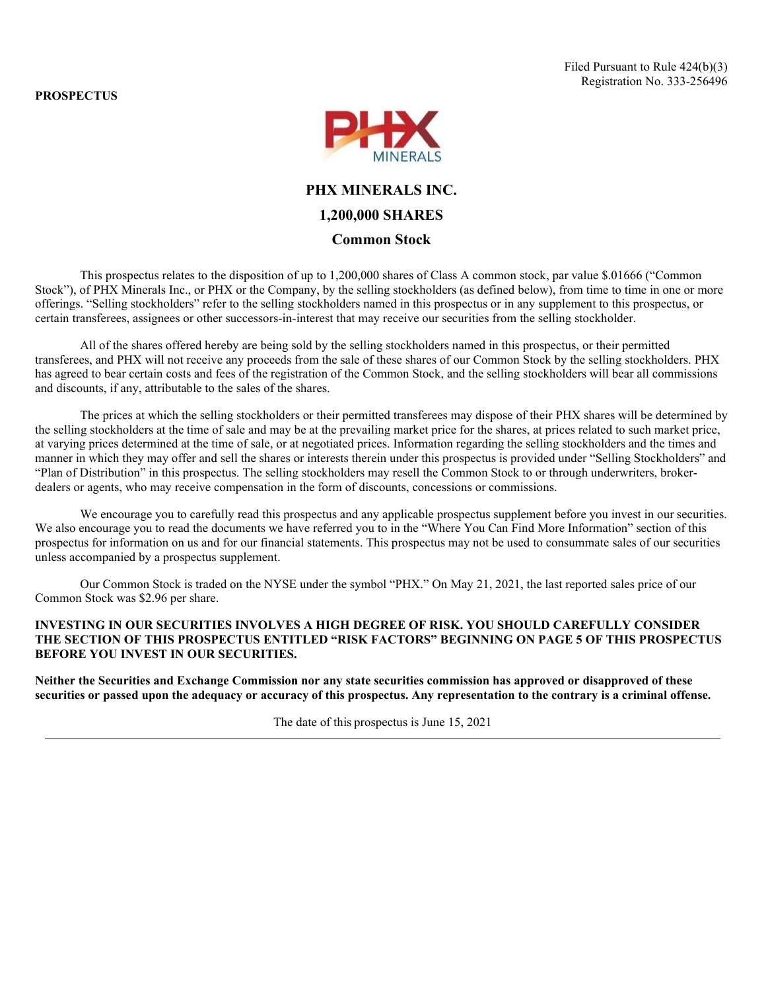**PROSPECTUS**



# **PHX MINERALS INC.**

# **1,200,000 SHARES**

## **Common Stock**

This prospectus relates to the disposition of up to 1,200,000 shares of Class A common stock, par value \$.01666 ("Common Stock"), of PHX Minerals Inc., or PHX or the Company, by the selling stockholders (as defined below), from time to time in one or more offerings. "Selling stockholders" refer to the selling stockholders named in this prospectus or in any supplement to this prospectus, or certain transferees, assignees or other successors-in-interest that may receive our securities from the selling stockholder.

All of the shares offered hereby are being sold by the selling stockholders named in this prospectus, or their permitted transferees, and PHX will not receive any proceeds from the sale of these shares of our Common Stock by the selling stockholders. PHX has agreed to bear certain costs and fees of the registration of the Common Stock, and the selling stockholders will bear all commissions and discounts, if any, attributable to the sales of the shares.

The prices at which the selling stockholders or their permitted transferees may dispose of their PHX shares will be determined by the selling stockholders at the time of sale and may be at the prevailing market price for the shares, at prices related to such market price, at varying prices determined at the time of sale, or at negotiated prices. Information regarding the selling stockholders and the times and manner in which they may offer and sell the shares or interests therein under this prospectus is provided under "Selling Stockholders" and "Plan of Distribution" in this prospectus. The selling stockholders may resell the Common Stock to or through underwriters, brokerdealers or agents, who may receive compensation in the form of discounts, concessions or commissions.

We encourage you to carefully read this prospectus and any applicable prospectus supplement before you invest in our securities. We also encourage you to read the documents we have referred you to in the "Where You Can Find More Information" section of this prospectus for information on us and for our financial statements. This prospectus may not be used to consummate sales of our securities unless accompanied by a prospectus supplement.

Our Common Stock is traded on the NYSE under the symbol "PHX." On May 21, 2021, the last reported sales price of our Common Stock was \$2.96 per share.

## **INVESTING IN OUR SECURITIES INVOLVES A HIGH DEGREE OF RISK. YOU SHOULD CAREFULLY CONSIDER THE SECTION OF THIS PROSPECTUS ENTITLED "RISK FACTORS" BEGINNING ON PAGE 5 OF THIS PROSPECTUS BEFORE YOU INVEST IN OUR SECURITIES.**

**Neither the Securities and Exchange Commission nor any state securities commission has approved or disapproved of these securities or passed upon the adequacy or accuracy of this prospectus. Any representation to the contrary is a criminal offense.**

The date of this prospectus is June 15, 2021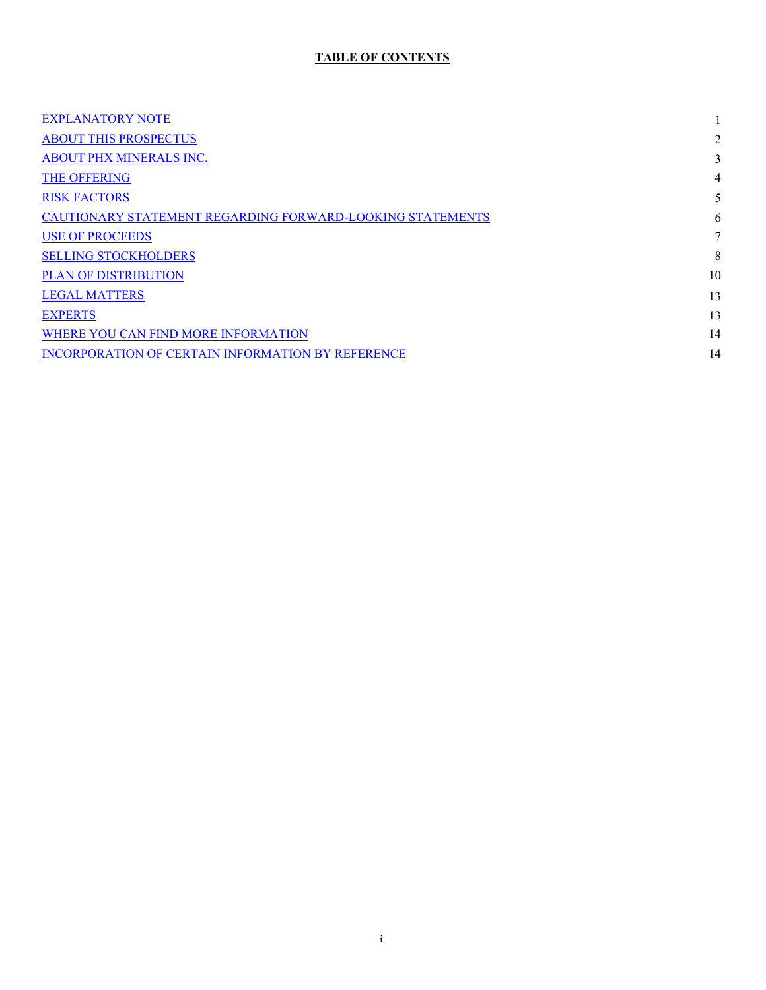# **TABLE OF CONTENTS**

| <b>EXPLANATORY NOTE</b>                                   |    |
|-----------------------------------------------------------|----|
| <b>ABOUT THIS PROSPECTUS</b>                              | 2  |
| ABOUT PHX MINERALS INC.                                   | 3  |
| <b>THE OFFERING</b>                                       | 4  |
| <b>RISK FACTORS</b>                                       |    |
| CAUTIONARY STATEMENT REGARDING FORWARD-LOOKING STATEMENTS | 6  |
| <b>USE OF PROCEEDS</b>                                    | 7  |
| <b>SELLING STOCKHOLDERS</b>                               | 8  |
| <b>PLAN OF DISTRIBUTION</b>                               | 10 |
| <b>LEGAL MATTERS</b>                                      | 13 |
| <b>EXPERTS</b>                                            | 13 |
| WHERE YOU CAN FIND MORE INFORMATION                       | 14 |
| INCORPORATION OF CERTAIN INFORMATION BY REFERENCE         | 14 |
|                                                           |    |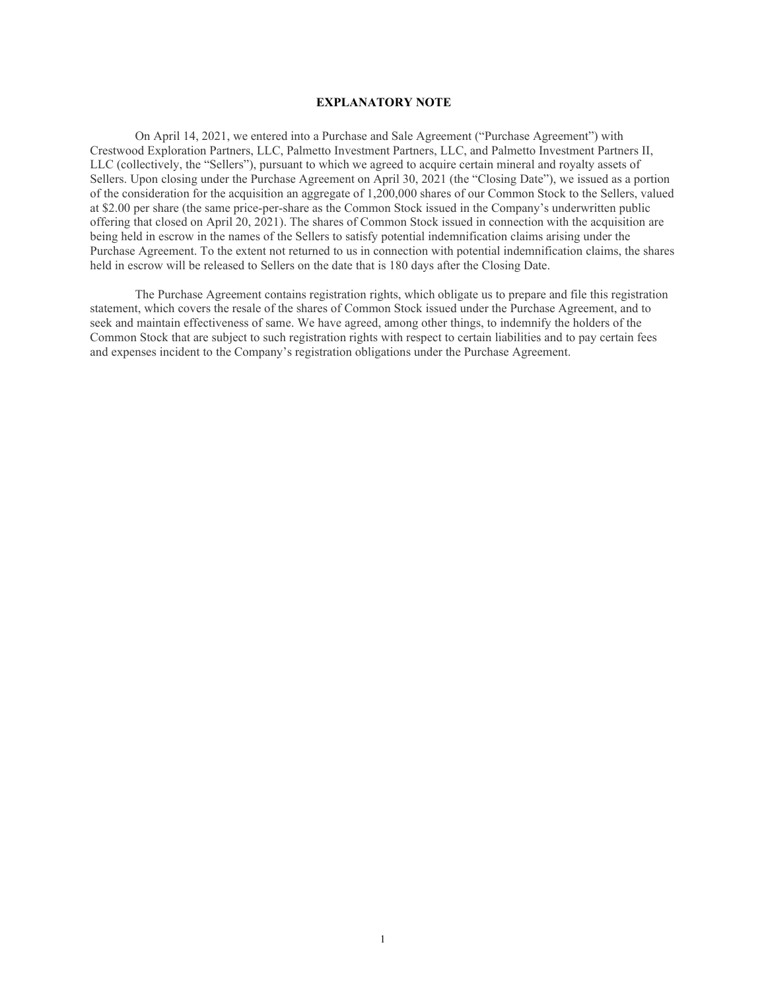#### **EXPLANATORY NOTE**

<span id="page-2-0"></span>On April 14, 2021, we entered into a Purchase and Sale Agreement ("Purchase Agreement") with Crestwood Exploration Partners, LLC, Palmetto Investment Partners, LLC, and Palmetto Investment Partners II, LLC (collectively, the "Sellers"), pursuant to which we agreed to acquire certain mineral and royalty assets of Sellers. Upon closing under the Purchase Agreement on April 30, 2021 (the "Closing Date"), we issued as a portion of the consideration for the acquisition an aggregate of 1,200,000 shares of our Common Stock to the Sellers, valued at \$2.00 per share (the same price-per-share as the Common Stock issued in the Company's underwritten public offering that closed on April 20, 2021). The shares of Common Stock issued in connection with the acquisition are being held in escrow in the names of the Sellers to satisfy potential indemnification claims arising under the Purchase Agreement. To the extent not returned to us in connection with potential indemnification claims, the shares held in escrow will be released to Sellers on the date that is 180 days after the Closing Date.

The Purchase Agreement contains registration rights, which obligate us to prepare and file this registration statement, which covers the resale of the shares of Common Stock issued under the Purchase Agreement, and to seek and maintain effectiveness of same. We have agreed, among other things, to indemnify the holders of the Common Stock that are subject to such registration rights with respect to certain liabilities and to pay certain fees and expenses incident to the Company's registration obligations under the Purchase Agreement.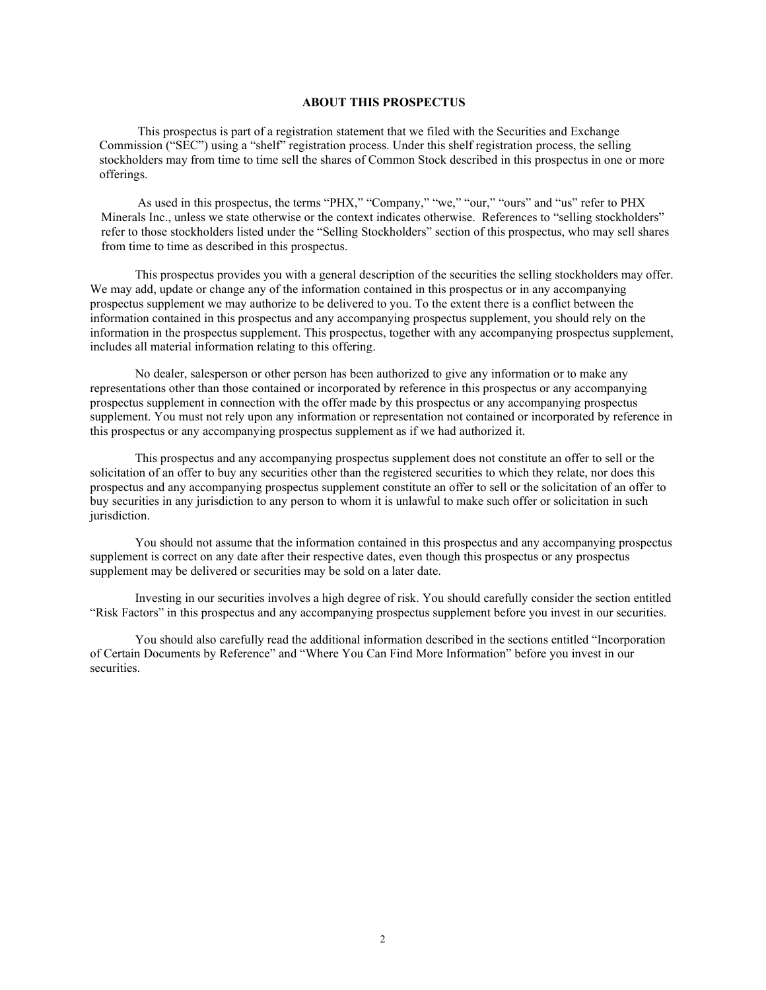#### **ABOUT THIS PROSPECTUS**

<span id="page-3-0"></span>This prospectus is part of a registration statement that we filed with the Securities and Exchange Commission ("SEC") using a "shelf" registration process. Under this shelf registration process, the selling stockholders may from time to time sell the shares of Common Stock described in this prospectus in one or more offerings.

As used in this prospectus, the terms "PHX," "Company," "we," "our," "ours" and "us" refer to PHX Minerals Inc., unless we state otherwise or the context indicates otherwise. References to "selling stockholders" refer to those stockholders listed under the "Selling Stockholders" section of this prospectus, who may sell shares from time to time as described in this prospectus.

This prospectus provides you with a general description of the securities the selling stockholders may offer. We may add, update or change any of the information contained in this prospectus or in any accompanying prospectus supplement we may authorize to be delivered to you. To the extent there is a conflict between the information contained in this prospectus and any accompanying prospectus supplement, you should rely on the information in the prospectus supplement. This prospectus, together with any accompanying prospectus supplement, includes all material information relating to this offering.

No dealer, salesperson or other person has been authorized to give any information or to make any representations other than those contained or incorporated by reference in this prospectus or any accompanying prospectus supplement in connection with the offer made by this prospectus or any accompanying prospectus supplement. You must not rely upon any information or representation not contained or incorporated by reference in this prospectus or any accompanying prospectus supplement as if we had authorized it.

This prospectus and any accompanying prospectus supplement does not constitute an offer to sell or the solicitation of an offer to buy any securities other than the registered securities to which they relate, nor does this prospectus and any accompanying prospectus supplement constitute an offer to sell or the solicitation of an offer to buy securities in any jurisdiction to any person to whom it is unlawful to make such offer or solicitation in such jurisdiction.

You should not assume that the information contained in this prospectus and any accompanying prospectus supplement is correct on any date after their respective dates, even though this prospectus or any prospectus supplement may be delivered or securities may be sold on a later date.

Investing in our securities involves a high degree of risk. You should carefully consider the section entitled "Risk Factors" in this prospectus and any accompanying prospectus supplement before you invest in our securities.

You should also carefully read the additional information described in the sections entitled "Incorporation of Certain Documents by Reference" and "Where You Can Find More Information" before you invest in our securities.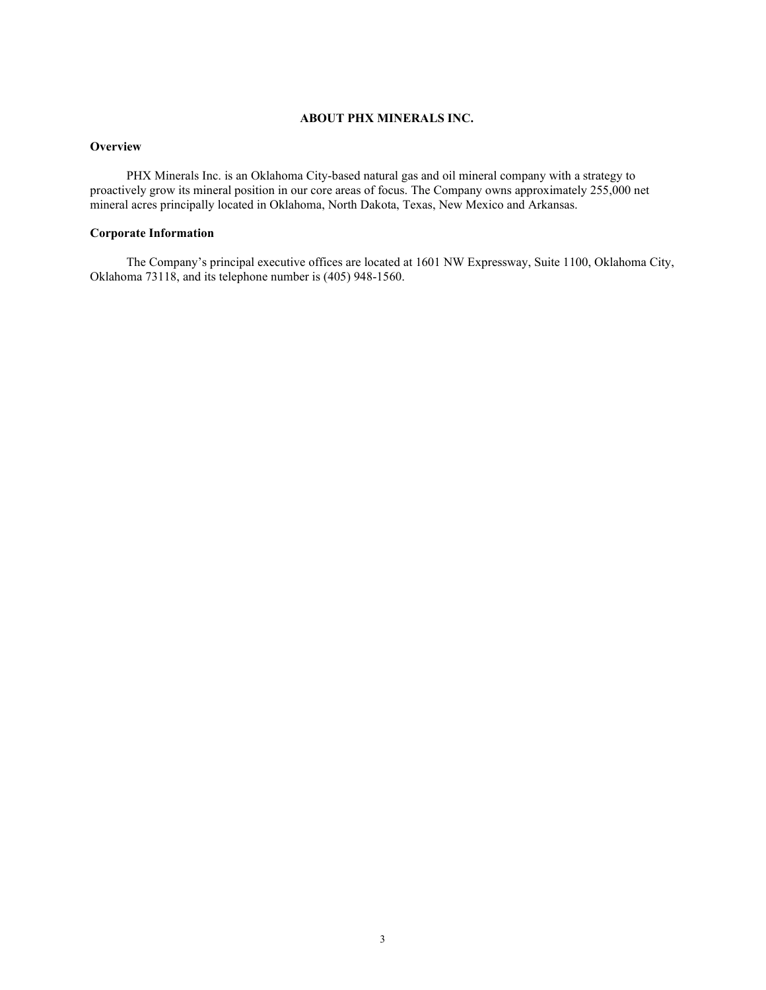# **ABOUT PHX MINERALS INC.**

## <span id="page-4-0"></span>**Overview**

PHX Minerals Inc. is an Oklahoma City-based natural gas and oil mineral company with a strategy to proactively grow its mineral position in our core areas of focus. The Company owns approximately 255,000 net mineral acres principally located in Oklahoma, North Dakota, Texas, New Mexico and Arkansas.

#### **Corporate Information**

The Company's principal executive offices are located at 1601 NW Expressway, Suite 1100, Oklahoma City, Oklahoma 73118, and its telephone number is (405) 948-1560.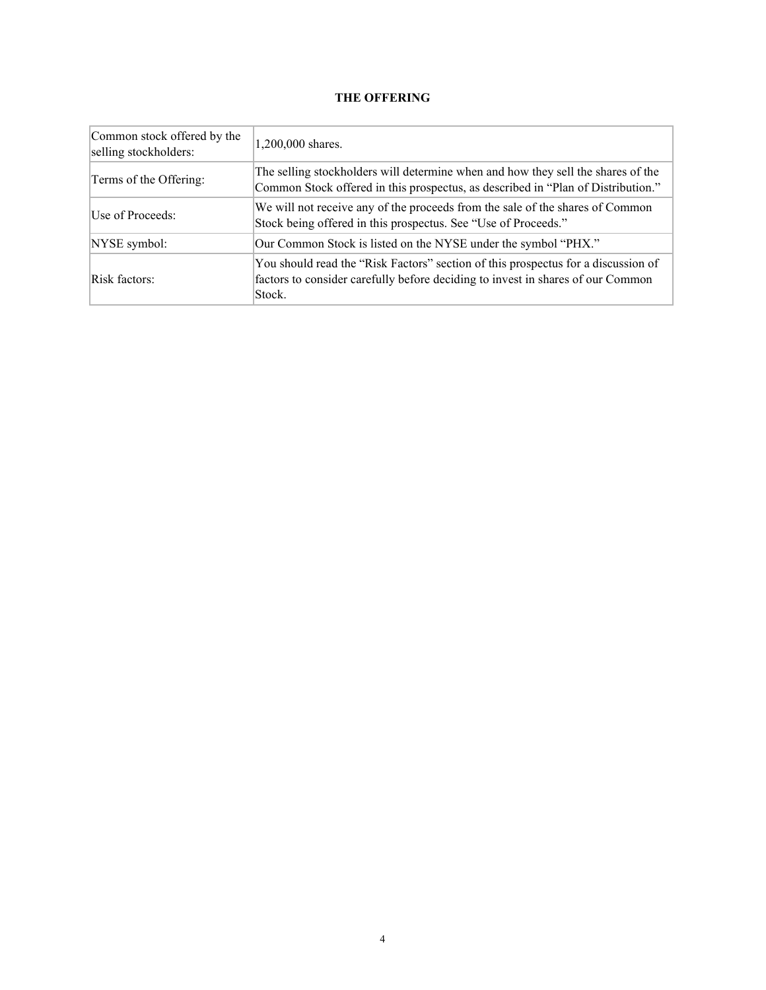# **THE OFFERING**

<span id="page-5-0"></span>

| Common stock offered by the<br>selling stockholders: | 1,200,000 shares.                                                                                                                                                              |
|------------------------------------------------------|--------------------------------------------------------------------------------------------------------------------------------------------------------------------------------|
| Terms of the Offering:                               | The selling stockholders will determine when and how they sell the shares of the<br>Common Stock offered in this prospectus, as described in "Plan of Distribution."           |
| Use of Proceeds:                                     | We will not receive any of the proceeds from the sale of the shares of Common<br>Stock being offered in this prospectus. See "Use of Proceeds."                                |
| NYSE symbol:                                         | Our Common Stock is listed on the NYSE under the symbol "PHX."                                                                                                                 |
| Risk factors:                                        | You should read the "Risk Factors" section of this prospectus for a discussion of<br>factors to consider carefully before deciding to invest in shares of our Common<br>Stock. |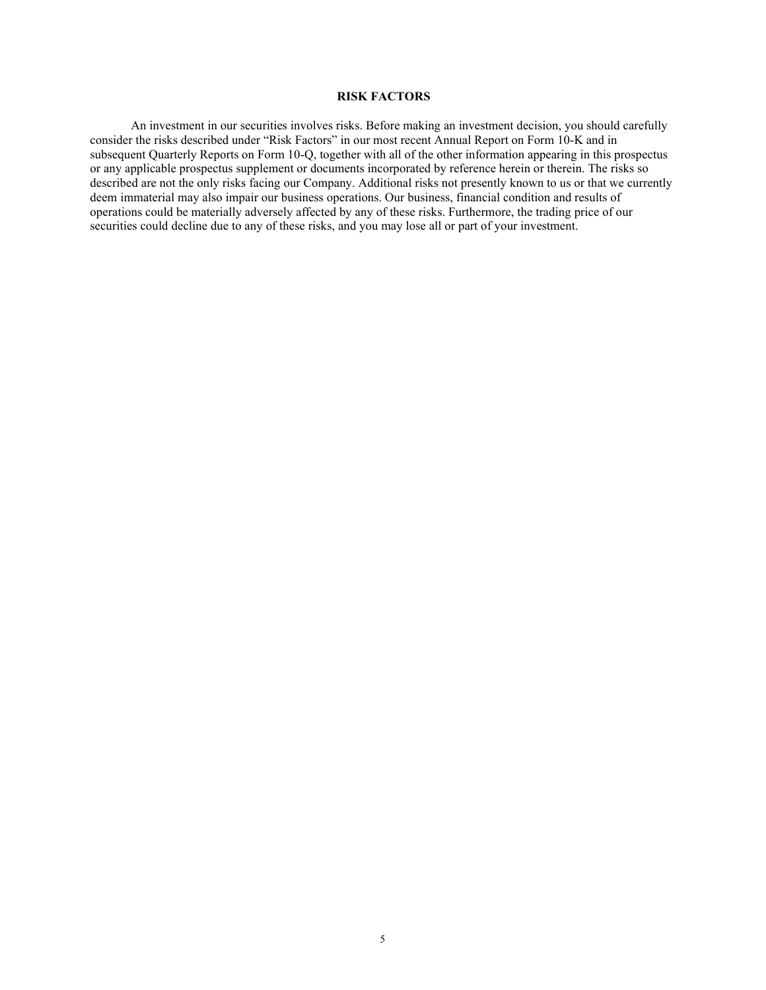# **RISK FACTORS**

<span id="page-6-0"></span>An investment in our securities involves risks. Before making an investment decision, you should carefully consider the risks described under "Risk Factors" in our most recent Annual Report on Form 10-K and in subsequent Quarterly Reports on Form 10-Q, together with all of the other information appearing in this prospectus or any applicable prospectus supplement or documents incorporated by reference herein or therein. The risks so described are not the only risks facing our Company. Additional risks not presently known to us or that we currently deem immaterial may also impair our business operations. Our business, financial condition and results of operations could be materially adversely affected by any of these risks. Furthermore, the trading price of our securities could decline due to any of these risks, and you may lose all or part of your investment.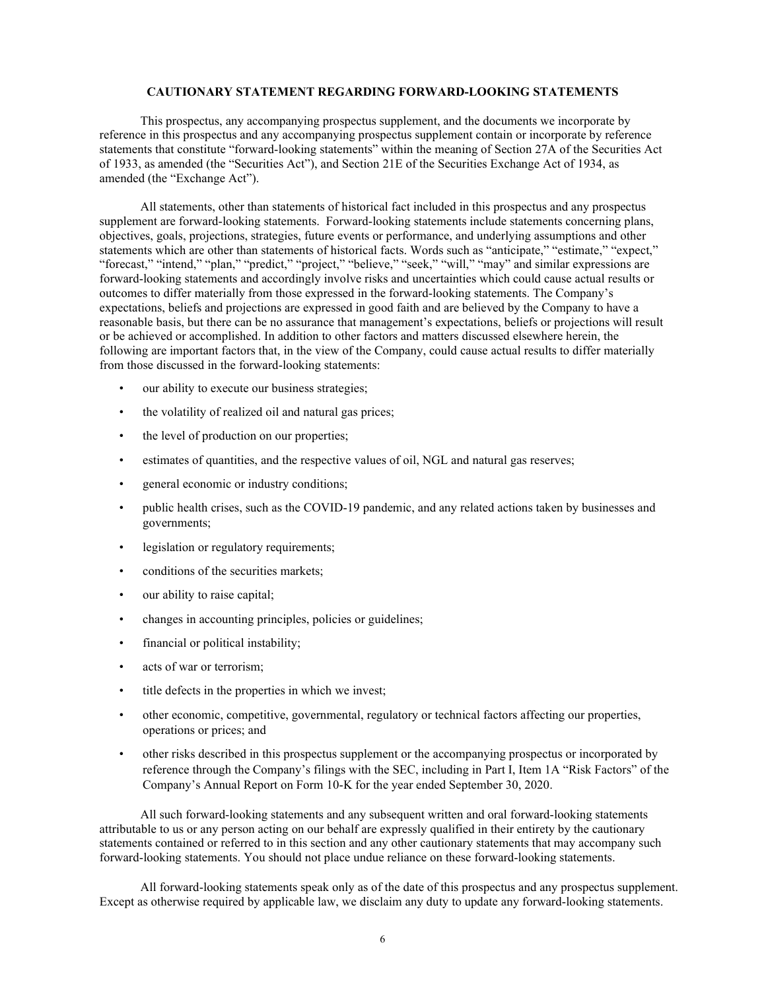#### **CAUTIONARY STATEMENT REGARDING FORWARD-LOOKING STATEMENTS**

<span id="page-7-0"></span>This prospectus, any accompanying prospectus supplement, and the documents we incorporate by reference in this prospectus and any accompanying prospectus supplement contain or incorporate by reference statements that constitute "forward-looking statements" within the meaning of Section 27A of the Securities Act of 1933, as amended (the "Securities Act"), and Section 21E of the Securities Exchange Act of 1934, as amended (the "Exchange Act").

All statements, other than statements of historical fact included in this prospectus and any prospectus supplement are forward-looking statements. Forward-looking statements include statements concerning plans, objectives, goals, projections, strategies, future events or performance, and underlying assumptions and other statements which are other than statements of historical facts. Words such as "anticipate," "estimate," "expect," "forecast," "intend," "plan," "predict," "project," "believe," "seek," "will," "may" and similar expressions are forward-looking statements and accordingly involve risks and uncertainties which could cause actual results or outcomes to differ materially from those expressed in the forward-looking statements. The Company's expectations, beliefs and projections are expressed in good faith and are believed by the Company to have a reasonable basis, but there can be no assurance that management's expectations, beliefs or projections will result or be achieved or accomplished. In addition to other factors and matters discussed elsewhere herein, the following are important factors that, in the view of the Company, could cause actual results to differ materially from those discussed in the forward-looking statements:

- our ability to execute our business strategies;
- the volatility of realized oil and natural gas prices;
- the level of production on our properties;
- estimates of quantities, and the respective values of oil, NGL and natural gas reserves;
- general economic or industry conditions;
- public health crises, such as the COVID-19 pandemic, and any related actions taken by businesses and governments;
- legislation or regulatory requirements;
- conditions of the securities markets;
- our ability to raise capital;
- changes in accounting principles, policies or guidelines;
- financial or political instability;
- acts of war or terrorism:
- title defects in the properties in which we invest;
- other economic, competitive, governmental, regulatory or technical factors affecting our properties, operations or prices; and
- other risks described in this prospectus supplement or the accompanying prospectus or incorporated by reference through the Company's filings with the SEC, including in Part I, Item 1A "Risk Factors" of the Company's Annual Report on Form 10-K for the year ended September 30, 2020.

All such forward-looking statements and any subsequent written and oral forward-looking statements attributable to us or any person acting on our behalf are expressly qualified in their entirety by the cautionary statements contained or referred to in this section and any other cautionary statements that may accompany such forward-looking statements. You should not place undue reliance on these forward-looking statements.

All forward-looking statements speak only as of the date of this prospectus and any prospectus supplement. Except as otherwise required by applicable law, we disclaim any duty to update any forward-looking statements.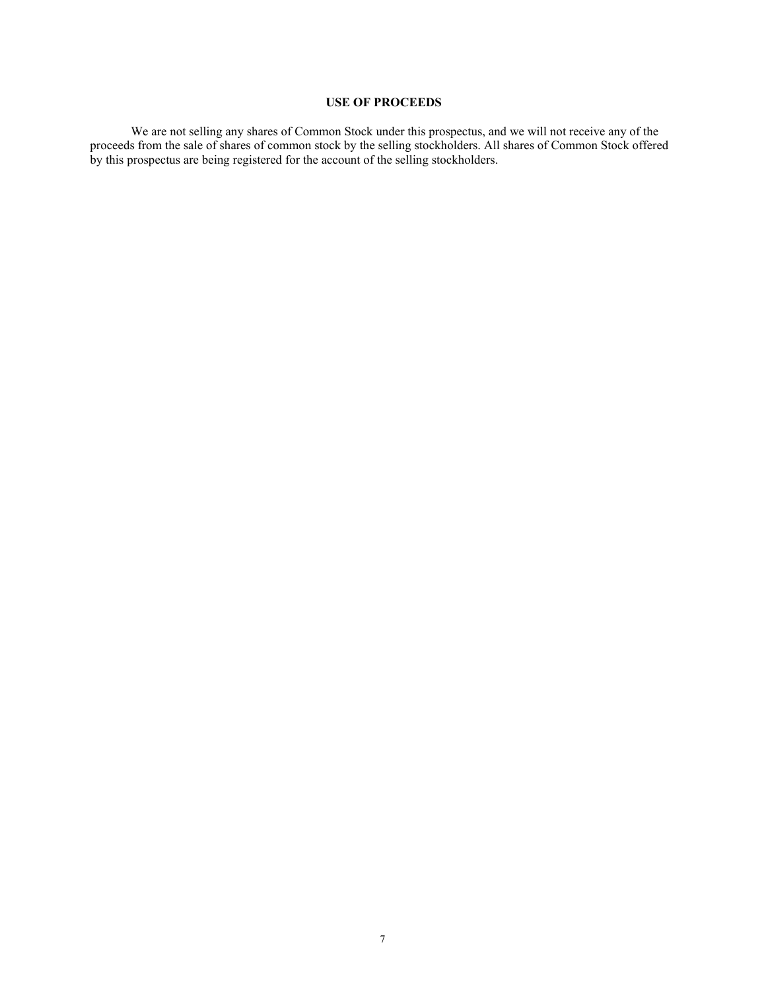# **USE OF PROCEEDS**

<span id="page-8-0"></span>We are not selling any shares of Common Stock under this prospectus, and we will not receive any of the proceeds from the sale of shares of common stock by the selling stockholders. All shares of Common Stock offered by this prospectus are being registered for the account of the selling stockholders.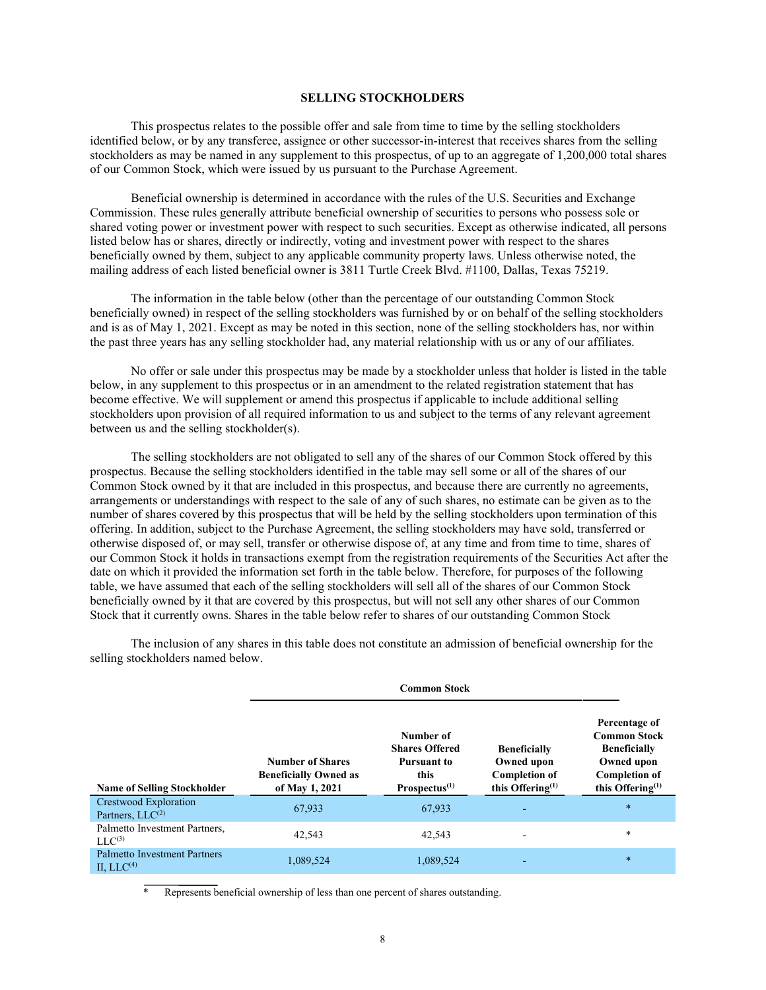#### **SELLING STOCKHOLDERS**

<span id="page-9-0"></span>This prospectus relates to the possible offer and sale from time to time by the selling stockholders identified below, or by any transferee, assignee or other successor-in-interest that receives shares from the selling stockholders as may be named in any supplement to this prospectus, of up to an aggregate of 1,200,000 total shares of our Common Stock, which were issued by us pursuant to the Purchase Agreement.

Beneficial ownership is determined in accordance with the rules of the U.S. Securities and Exchange Commission. These rules generally attribute beneficial ownership of securities to persons who possess sole or shared voting power or investment power with respect to such securities. Except as otherwise indicated, all persons listed below has or shares, directly or indirectly, voting and investment power with respect to the shares beneficially owned by them, subject to any applicable community property laws. Unless otherwise noted, the mailing address of each listed beneficial owner is 3811 Turtle Creek Blvd. #1100, Dallas, Texas 75219.

The information in the table below (other than the percentage of our outstanding Common Stock beneficially owned) in respect of the selling stockholders was furnished by or on behalf of the selling stockholders and is as of May 1, 2021. Except as may be noted in this section, none of the selling stockholders has, nor within the past three years has any selling stockholder had, any material relationship with us or any of our affiliates.

No offer or sale under this prospectus may be made by a stockholder unless that holder is listed in the table below, in any supplement to this prospectus or in an amendment to the related registration statement that has become effective. We will supplement or amend this prospectus if applicable to include additional selling stockholders upon provision of all required information to us and subject to the terms of any relevant agreement between us and the selling stockholder(s).

The selling stockholders are not obligated to sell any of the shares of our Common Stock offered by this prospectus. Because the selling stockholders identified in the table may sell some or all of the shares of our Common Stock owned by it that are included in this prospectus, and because there are currently no agreements, arrangements or understandings with respect to the sale of any of such shares, no estimate can be given as to the number of shares covered by this prospectus that will be held by the selling stockholders upon termination of this offering. In addition, subject to the Purchase Agreement, the selling stockholders may have sold, transferred or otherwise disposed of, or may sell, transfer or otherwise dispose of, at any time and from time to time, shares of our Common Stock it holds in transactions exempt from the registration requirements of the Securities Act after the date on which it provided the information set forth in the table below. Therefore, for purposes of the following table, we have assumed that each of the selling stockholders will sell all of the shares of our Common Stock beneficially owned by it that are covered by this prospectus, but will not sell any other shares of our Common Stock that it currently owns. Shares in the table below refer to shares of our outstanding Common Stock

|                                                     | <b>Common Stock</b>                                                       |                                                                                            |                                                                                  |                                                                                                                          |  |
|-----------------------------------------------------|---------------------------------------------------------------------------|--------------------------------------------------------------------------------------------|----------------------------------------------------------------------------------|--------------------------------------------------------------------------------------------------------------------------|--|
| <b>Name of Selling Stockholder</b>                  | <b>Number of Shares</b><br><b>Beneficially Owned as</b><br>of May 1, 2021 | Number of<br><b>Shares Offered</b><br><b>Pursuant to</b><br>this<br>Proofus <sup>(1)</sup> | <b>Beneficially</b><br>Owned upon<br><b>Completion of</b><br>this Offering $(1)$ | Percentage of<br><b>Common Stock</b><br><b>Beneficially</b><br>Owned upon<br><b>Completion of</b><br>this Offering $(1)$ |  |
| Crestwood Exploration<br>Partners, $LLC^{(2)}$      | 67,933                                                                    | 67,933                                                                                     | $\overline{\phantom{0}}$                                                         | $\ast$                                                                                                                   |  |
| Palmetto Investment Partners.<br>$LLC^{(3)}$        | 42.543                                                                    | 42,543                                                                                     | $\blacksquare$                                                                   | $\ast$                                                                                                                   |  |
| <b>Palmetto Investment Partners</b><br>II. $LLC(4)$ | 1,089,524                                                                 | 1,089,524                                                                                  | $\overline{\phantom{0}}$                                                         | $\ast$                                                                                                                   |  |

The inclusion of any shares in this table does not constitute an admission of beneficial ownership for the selling stockholders named below.

Represents beneficial ownership of less than one percent of shares outstanding.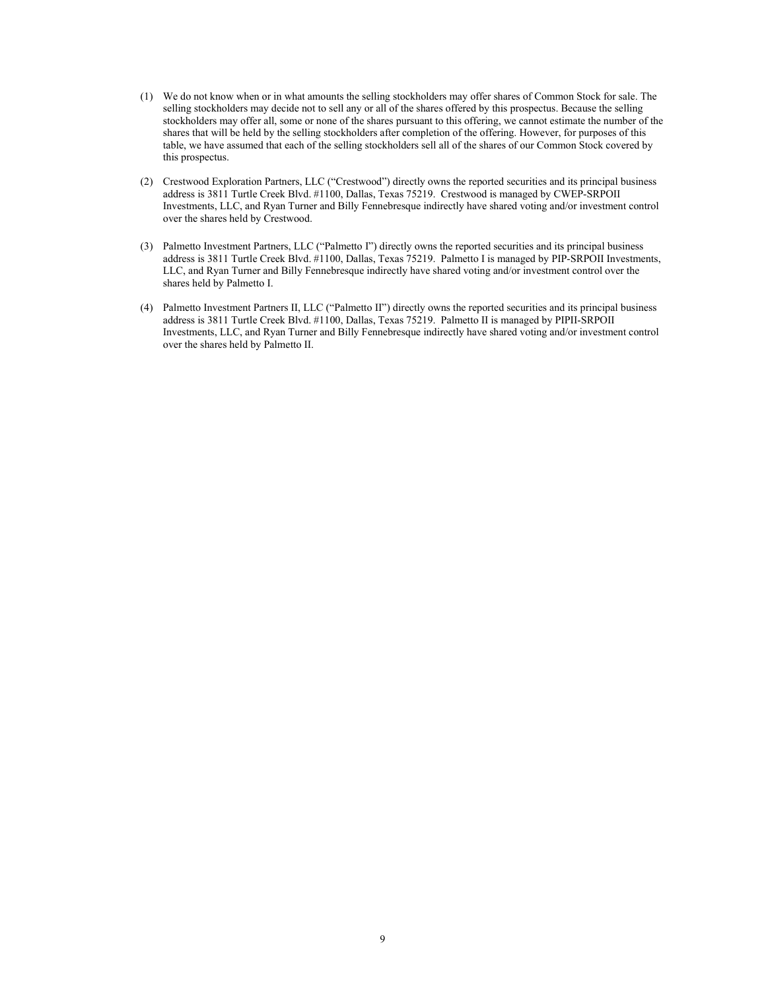- (1) We do not know when or in what amounts the selling stockholders may offer shares of Common Stock for sale. The selling stockholders may decide not to sell any or all of the shares offered by this prospectus. Because the selling stockholders may offer all, some or none of the shares pursuant to this offering, we cannot estimate the number of the shares that will be held by the selling stockholders after completion of the offering. However, for purposes of this table, we have assumed that each of the selling stockholders sell all of the shares of our Common Stock covered by this prospectus.
- (2) Crestwood Exploration Partners, LLC ("Crestwood") directly owns the reported securities and its principal business address is 3811 Turtle Creek Blvd. #1100, Dallas, Texas 75219. Crestwood is managed by CWEP-SRPOII Investments, LLC, and Ryan Turner and Billy Fennebresque indirectly have shared voting and/or investment control over the shares held by Crestwood.
- (3) Palmetto Investment Partners, LLC ("Palmetto I") directly owns the reported securities and its principal business address is 3811 Turtle Creek Blvd. #1100, Dallas, Texas 75219. Palmetto I is managed by PIP-SRPOII Investments, LLC, and Ryan Turner and Billy Fennebresque indirectly have shared voting and/or investment control over the shares held by Palmetto I.
- (4) Palmetto Investment Partners II, LLC ("Palmetto II") directly owns the reported securities and its principal business address is 3811 Turtle Creek Blvd. #1100, Dallas, Texas 75219. Palmetto II is managed by PIPII-SRPOII Investments, LLC, and Ryan Turner and Billy Fennebresque indirectly have shared voting and/or investment control over the shares held by Palmetto II.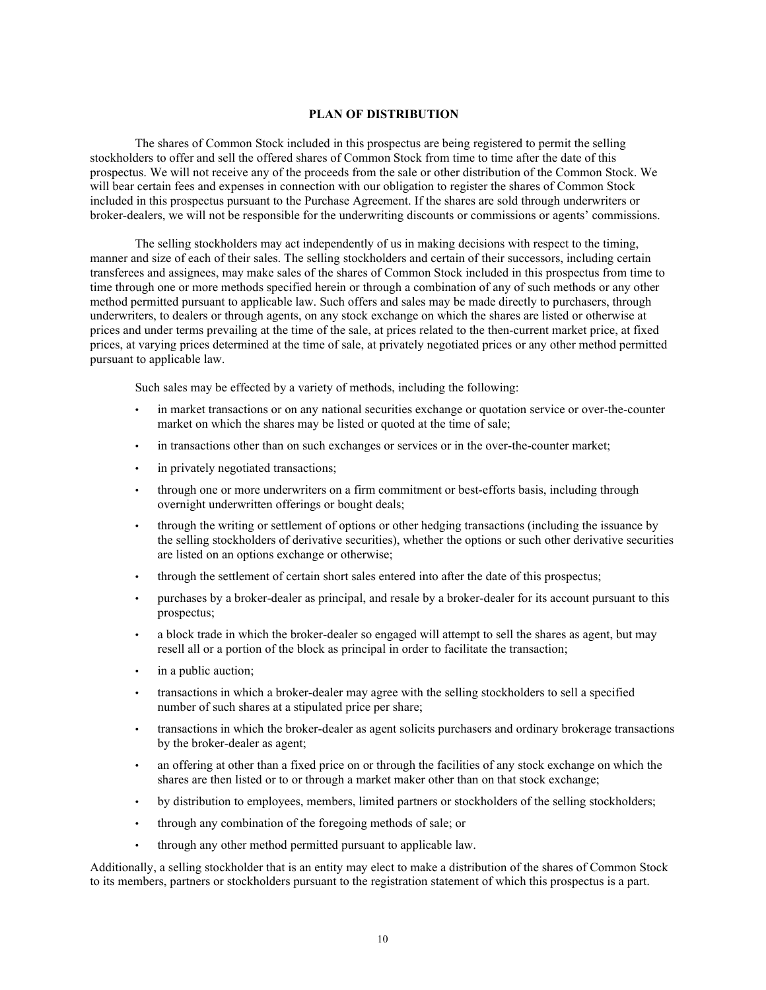#### **PLAN OF DISTRIBUTION**

<span id="page-11-0"></span>The shares of Common Stock included in this prospectus are being registered to permit the selling stockholders to offer and sell the offered shares of Common Stock from time to time after the date of this prospectus. We will not receive any of the proceeds from the sale or other distribution of the Common Stock. We will bear certain fees and expenses in connection with our obligation to register the shares of Common Stock included in this prospectus pursuant to the Purchase Agreement. If the shares are sold through underwriters or broker-dealers, we will not be responsible for the underwriting discounts or commissions or agents' commissions.

The selling stockholders may act independently of us in making decisions with respect to the timing, manner and size of each of their sales. The selling stockholders and certain of their successors, including certain transferees and assignees, may make sales of the shares of Common Stock included in this prospectus from time to time through one or more methods specified herein or through a combination of any of such methods or any other method permitted pursuant to applicable law. Such offers and sales may be made directly to purchasers, through underwriters, to dealers or through agents, on any stock exchange on which the shares are listed or otherwise at prices and under terms prevailing at the time of the sale, at prices related to the then-current market price, at fixed prices, at varying prices determined at the time of sale, at privately negotiated prices or any other method permitted pursuant to applicable law.

Such sales may be effected by a variety of methods, including the following:

- in market transactions or on any national securities exchange or quotation service or over-the-counter market on which the shares may be listed or quoted at the time of sale;
- in transactions other than on such exchanges or services or in the over-the-counter market;
- in privately negotiated transactions;
- through one or more underwriters on a firm commitment or best-efforts basis, including through overnight underwritten offerings or bought deals;
- through the writing or settlement of options or other hedging transactions (including the issuance by the selling stockholders of derivative securities), whether the options or such other derivative securities are listed on an options exchange or otherwise;
- through the settlement of certain short sales entered into after the date of this prospectus;
- purchases by a broker-dealer as principal, and resale by a broker-dealer for its account pursuant to this prospectus;
- a block trade in which the broker-dealer so engaged will attempt to sell the shares as agent, but may resell all or a portion of the block as principal in order to facilitate the transaction;
- in a public auction:
- transactions in which a broker-dealer may agree with the selling stockholders to sell a specified number of such shares at a stipulated price per share;
- transactions in which the broker-dealer as agent solicits purchasers and ordinary brokerage transactions by the broker-dealer as agent;
- an offering at other than a fixed price on or through the facilities of any stock exchange on which the shares are then listed or to or through a market maker other than on that stock exchange;
- by distribution to employees, members, limited partners or stockholders of the selling stockholders;
- through any combination of the foregoing methods of sale; or
- through any other method permitted pursuant to applicable law.

Additionally, a selling stockholder that is an entity may elect to make a distribution of the shares of Common Stock to its members, partners or stockholders pursuant to the registration statement of which this prospectus is a part.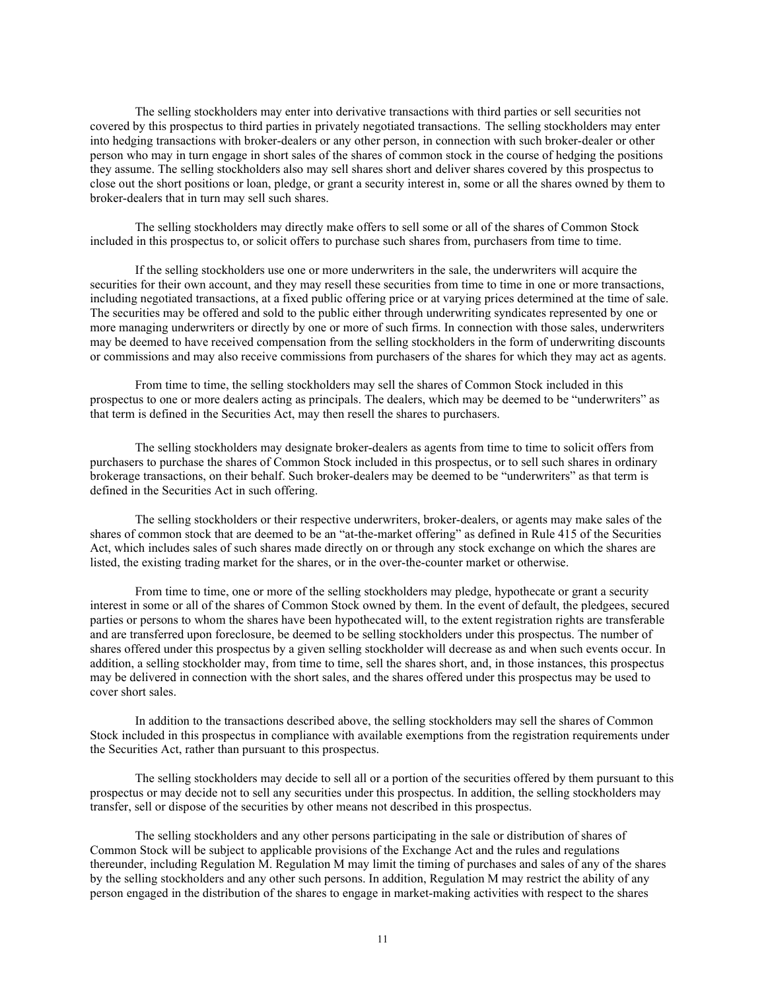The selling stockholders may enter into derivative transactions with third parties or sell securities not covered by this prospectus to third parties in privately negotiated transactions. The selling stockholders may enter into hedging transactions with broker-dealers or any other person, in connection with such broker-dealer or other person who may in turn engage in short sales of the shares of common stock in the course of hedging the positions they assume. The selling stockholders also may sell shares short and deliver shares covered by this prospectus to close out the short positions or loan, pledge, or grant a security interest in, some or all the shares owned by them to broker-dealers that in turn may sell such shares.

The selling stockholders may directly make offers to sell some or all of the shares of Common Stock included in this prospectus to, or solicit offers to purchase such shares from, purchasers from time to time.

If the selling stockholders use one or more underwriters in the sale, the underwriters will acquire the securities for their own account, and they may resell these securities from time to time in one or more transactions, including negotiated transactions, at a fixed public offering price or at varying prices determined at the time of sale. The securities may be offered and sold to the public either through underwriting syndicates represented by one or more managing underwriters or directly by one or more of such firms. In connection with those sales, underwriters may be deemed to have received compensation from the selling stockholders in the form of underwriting discounts or commissions and may also receive commissions from purchasers of the shares for which they may act as agents.

From time to time, the selling stockholders may sell the shares of Common Stock included in this prospectus to one or more dealers acting as principals. The dealers, which may be deemed to be "underwriters" as that term is defined in the Securities Act, may then resell the shares to purchasers.

The selling stockholders may designate broker-dealers as agents from time to time to solicit offers from purchasers to purchase the shares of Common Stock included in this prospectus, or to sell such shares in ordinary brokerage transactions, on their behalf. Such broker-dealers may be deemed to be "underwriters" as that term is defined in the Securities Act in such offering.

The selling stockholders or their respective underwriters, broker-dealers, or agents may make sales of the shares of common stock that are deemed to be an "at-the-market offering" as defined in Rule 415 of the Securities Act, which includes sales of such shares made directly on or through any stock exchange on which the shares are listed, the existing trading market for the shares, or in the over-the-counter market or otherwise.

From time to time, one or more of the selling stockholders may pledge, hypothecate or grant a security interest in some or all of the shares of Common Stock owned by them. In the event of default, the pledgees, secured parties or persons to whom the shares have been hypothecated will, to the extent registration rights are transferable and are transferred upon foreclosure, be deemed to be selling stockholders under this prospectus. The number of shares offered under this prospectus by a given selling stockholder will decrease as and when such events occur. In addition, a selling stockholder may, from time to time, sell the shares short, and, in those instances, this prospectus may be delivered in connection with the short sales, and the shares offered under this prospectus may be used to cover short sales.

In addition to the transactions described above, the selling stockholders may sell the shares of Common Stock included in this prospectus in compliance with available exemptions from the registration requirements under the Securities Act, rather than pursuant to this prospectus.

The selling stockholders may decide to sell all or a portion of the securities offered by them pursuant to this prospectus or may decide not to sell any securities under this prospectus. In addition, the selling stockholders may transfer, sell or dispose of the securities by other means not described in this prospectus.

The selling stockholders and any other persons participating in the sale or distribution of shares of Common Stock will be subject to applicable provisions of the Exchange Act and the rules and regulations thereunder, including Regulation M. Regulation M may limit the timing of purchases and sales of any of the shares by the selling stockholders and any other such persons. In addition, Regulation M may restrict the ability of any person engaged in the distribution of the shares to engage in market-making activities with respect to the shares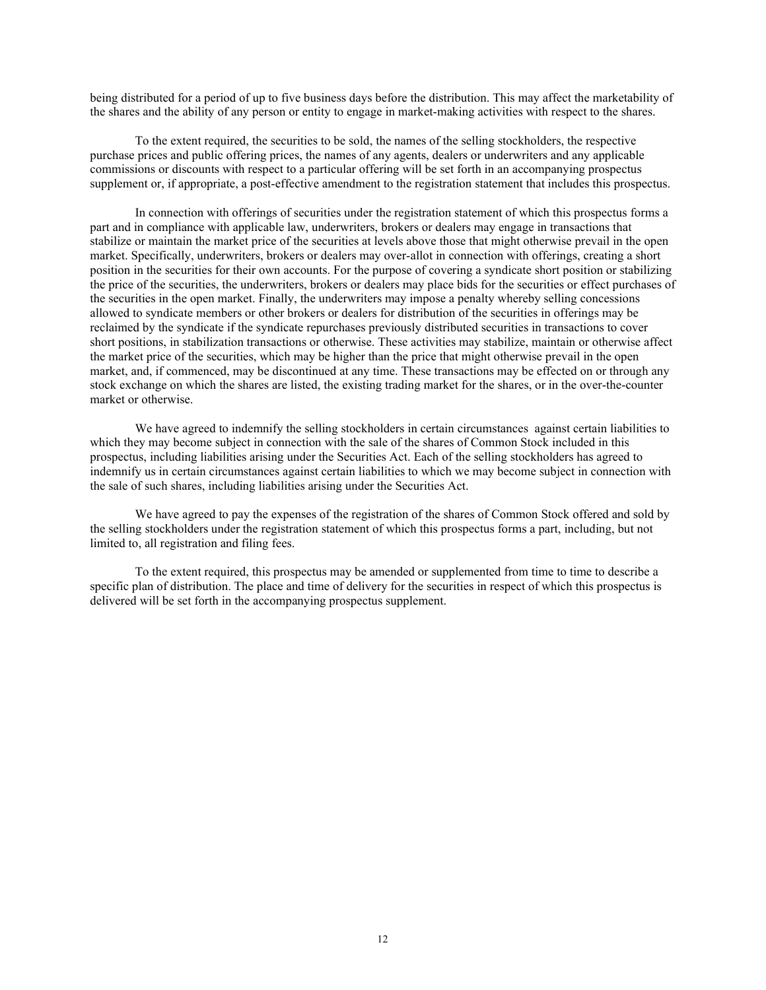being distributed for a period of up to five business days before the distribution. This may affect the marketability of the shares and the ability of any person or entity to engage in market-making activities with respect to the shares.

To the extent required, the securities to be sold, the names of the selling stockholders, the respective purchase prices and public offering prices, the names of any agents, dealers or underwriters and any applicable commissions or discounts with respect to a particular offering will be set forth in an accompanying prospectus supplement or, if appropriate, a post-effective amendment to the registration statement that includes this prospectus.

In connection with offerings of securities under the registration statement of which this prospectus forms a part and in compliance with applicable law, underwriters, brokers or dealers may engage in transactions that stabilize or maintain the market price of the securities at levels above those that might otherwise prevail in the open market. Specifically, underwriters, brokers or dealers may over-allot in connection with offerings, creating a short position in the securities for their own accounts. For the purpose of covering a syndicate short position or stabilizing the price of the securities, the underwriters, brokers or dealers may place bids for the securities or effect purchases of the securities in the open market. Finally, the underwriters may impose a penalty whereby selling concessions allowed to syndicate members or other brokers or dealers for distribution of the securities in offerings may be reclaimed by the syndicate if the syndicate repurchases previously distributed securities in transactions to cover short positions, in stabilization transactions or otherwise. These activities may stabilize, maintain or otherwise affect the market price of the securities, which may be higher than the price that might otherwise prevail in the open market, and, if commenced, may be discontinued at any time. These transactions may be effected on or through any stock exchange on which the shares are listed, the existing trading market for the shares, or in the over-the-counter market or otherwise.

We have agreed to indemnify the selling stockholders in certain circumstances against certain liabilities to which they may become subject in connection with the sale of the shares of Common Stock included in this prospectus, including liabilities arising under the Securities Act. Each of the selling stockholders has agreed to indemnify us in certain circumstances against certain liabilities to which we may become subject in connection with the sale of such shares, including liabilities arising under the Securities Act.

We have agreed to pay the expenses of the registration of the shares of Common Stock offered and sold by the selling stockholders under the registration statement of which this prospectus forms a part, including, but not limited to, all registration and filing fees.

To the extent required, this prospectus may be amended or supplemented from time to time to describe a specific plan of distribution. The place and time of delivery for the securities in respect of which this prospectus is delivered will be set forth in the accompanying prospectus supplement.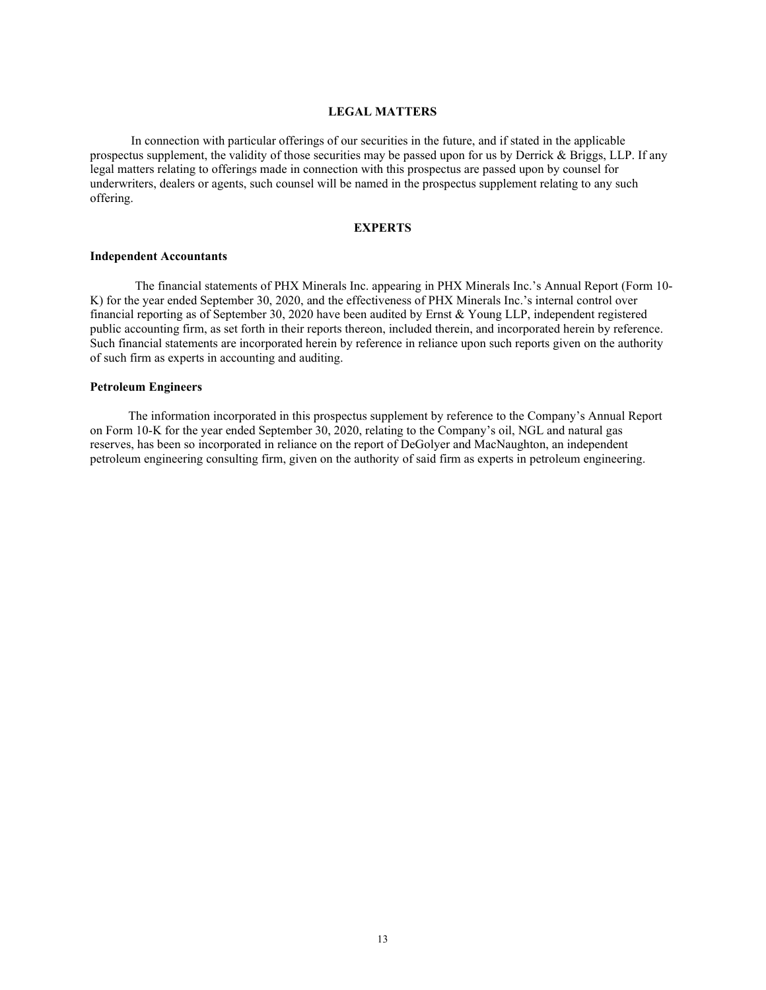#### **LEGAL MATTERS**

<span id="page-14-0"></span>In connection with particular offerings of our securities in the future, and if stated in the applicable prospectus supplement, the validity of those securities may be passed upon for us by Derrick & Briggs, LLP. If any legal matters relating to offerings made in connection with this prospectus are passed upon by counsel for underwriters, dealers or agents, such counsel will be named in the prospectus supplement relating to any such offering.

#### **EXPERTS**

#### <span id="page-14-1"></span>**Independent Accountants**

The financial statements of PHX Minerals Inc. appearing in PHX Minerals Inc.'s Annual Report (Form 10- K) for the year ended September 30, 2020, and the effectiveness of PHX Minerals Inc.'s internal control over financial reporting as of September 30, 2020 have been audited by Ernst & Young LLP, independent registered public accounting firm, as set forth in their reports thereon, included therein, and incorporated herein by reference. Such financial statements are incorporated herein by reference in reliance upon such reports given on the authority of such firm as experts in accounting and auditing.

#### **Petroleum Engineers**

The information incorporated in this prospectus supplement by reference to the Company's Annual Report on Form 10-K for the year ended September 30, 2020, relating to the Company's oil, NGL and natural gas reserves, has been so incorporated in reliance on the report of DeGolyer and MacNaughton, an independent petroleum engineering consulting firm, given on the authority of said firm as experts in petroleum engineering.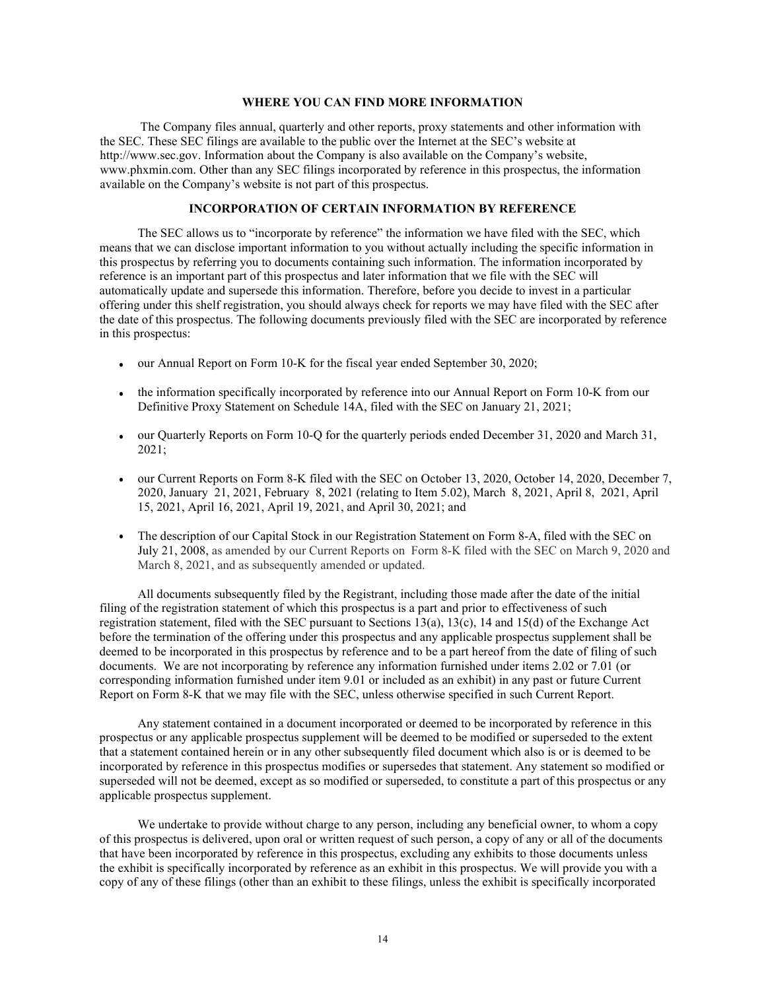#### **WHERE YOU CAN FIND MORE INFORMATION**

<span id="page-15-0"></span>The Company files annual, quarterly and other reports, proxy statements and other information with the SEC. These SEC filings are available to the public over the Internet at the SEC's website at http://www.sec.gov. Information about the Company is also available on the Company's website, www.phxmin.com. Other than any SEC filings incorporated by reference in this prospectus, the information available on the Company's website is not part of this prospectus.

#### **INCORPORATION OF CERTAIN INFORMATION BY REFERENCE**

<span id="page-15-1"></span>The SEC allows us to "incorporate by reference" the information we have filed with the SEC, which means that we can disclose important information to you without actually including the specific information in this prospectus by referring you to documents containing such information. The information incorporated by reference is an important part of this prospectus and later information that we file with the SEC will automatically update and supersede this information. Therefore, before you decide to invest in a particular offering under this shelf registration, you should always check for reports we may have filed with the SEC after the date of this prospectus. The following documents previously filed with the SEC are incorporated by reference in this prospectus:

- our Annual Report on Form 10-K for the fiscal year ended September 30, 2020;
- the information specifically incorporated by reference into our Annual Report on Form 10-K from our Definitive Proxy Statement on Schedule 14A, filed with the SEC on January 21, 2021;
- our Quarterly Reports on Form 10-Q for the quarterly periods ended December 31, 2020 and March 31, 2021;
- our Current Reports on Form 8-K filed with the SEC on October 13, 2020, October 14, 2020, December 7, 2020, January 21, 2021, February 8, 2021 (relating to Item 5.02), March 8, 2021, April 8, 2021, April 15, 2021, April 16, 2021, April 19, 2021, and April 30, 2021; and
- The description of our Capital Stock in our Registration Statement on Form 8-A, filed with the SEC on July 21, 2008, as amended by our Current Reports on Form 8-K filed with the SEC on March 9, 2020 and March 8, 2021, and as subsequently amended or updated.

All documents subsequently filed by the Registrant, including those made after the date of the initial filing of the registration statement of which this prospectus is a part and prior to effectiveness of such registration statement, filed with the SEC pursuant to Sections 13(a), 13(c), 14 and 15(d) of the Exchange Act before the termination of the offering under this prospectus and any applicable prospectus supplement shall be deemed to be incorporated in this prospectus by reference and to be a part hereof from the date of filing of such documents. We are not incorporating by reference any information furnished under items 2.02 or 7.01 (or corresponding information furnished under item 9.01 or included as an exhibit) in any past or future Current Report on Form 8-K that we may file with the SEC, unless otherwise specified in such Current Report.

Any statement contained in a document incorporated or deemed to be incorporated by reference in this prospectus or any applicable prospectus supplement will be deemed to be modified or superseded to the extent that a statement contained herein or in any other subsequently filed document which also is or is deemed to be incorporated by reference in this prospectus modifies or supersedes that statement. Any statement so modified or superseded will not be deemed, except as so modified or superseded, to constitute a part of this prospectus or any applicable prospectus supplement.

We undertake to provide without charge to any person, including any beneficial owner, to whom a copy of this prospectus is delivered, upon oral or written request of such person, a copy of any or all of the documents that have been incorporated by reference in this prospectus, excluding any exhibits to those documents unless the exhibit is specifically incorporated by reference as an exhibit in this prospectus. We will provide you with a copy of any of these filings (other than an exhibit to these filings, unless the exhibit is specifically incorporated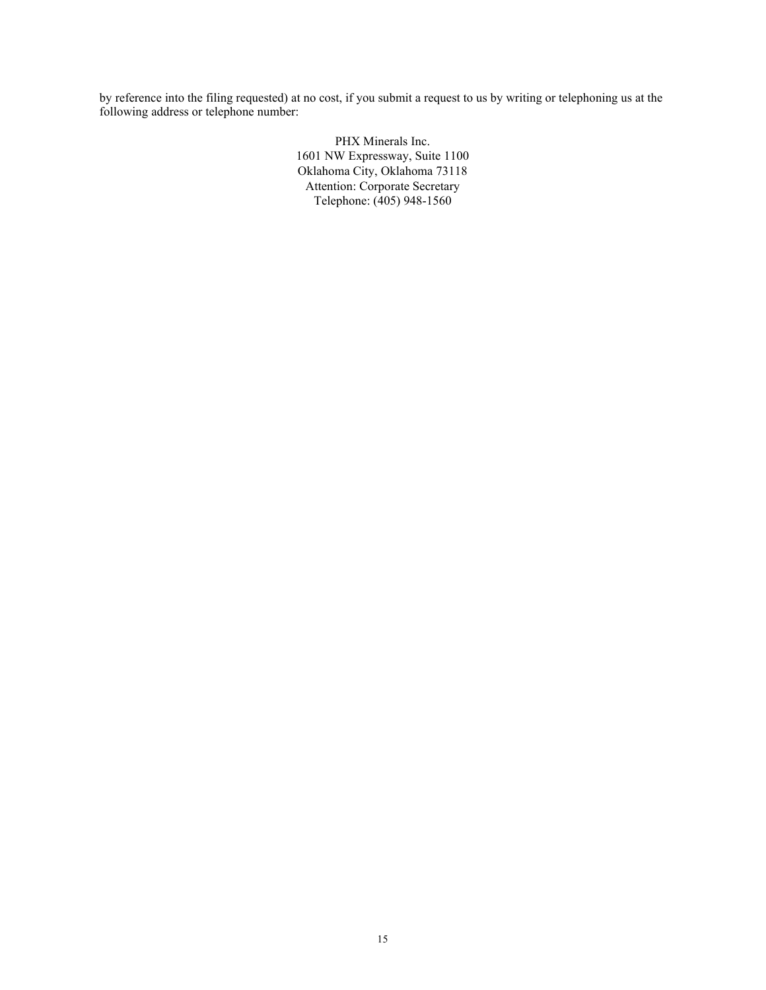by reference into the filing requested) at no cost, if you submit a request to us by writing or telephoning us at the following address or telephone number:

> PHX Minerals Inc. 1601 NW Expressway, Suite 1100 Oklahoma City, Oklahoma 73118 Attention: Corporate Secretary Telephone: (405) 948-1560